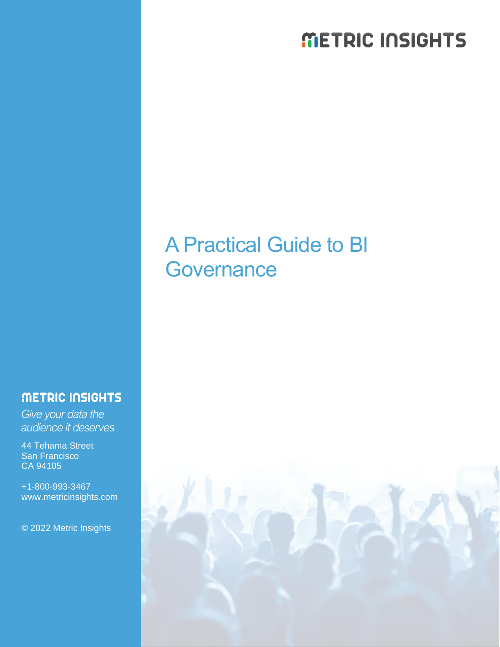# METRIC INSIGHTS

# A Practical Guide to BI **Governance**

## METRIC INSIGHTS

*Give your data the audience it deserves*

44 Tehama Street San Francisco CA 94105

+1-800-993-3467 www.metricinsights.com

© 2022 Metric Insights

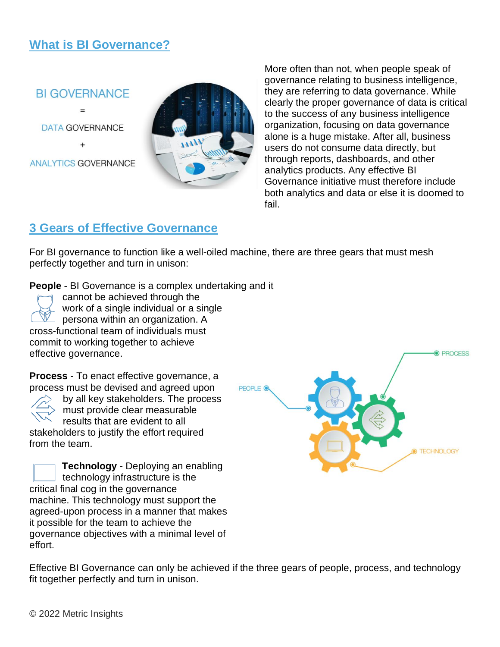# **What is BI Governance?**



DATA GOVERNANCE

**ANALYTICS GOVERNANCE** 



More often than not, when people speak of governance relating to business intelligence, they are referring to data governance. While clearly the proper governance of data is critical to the success of any business intelligence organization, focusing on data governance alone is a huge mistake. After all, business users do not consume data directly, but through reports, dashboards, and other analytics products. Any effective BI Governance initiative must therefore include both analytics and data or else it is doomed to fail.

## **3 Gears of Effective Governance**

For BI governance to function like a well-oiled machine, there are three gears that must mesh perfectly together and turn in unison:

**People** - BI Governance is a complex undertaking and it

cannot be achieved through the work of a single individual or a single persona within an organization. A cross-functional team of individuals must commit to working together to achieve effective governance.

**Process** - To enact effective governance, a process must be devised and agreed upon

by all key stakeholders. The process must provide clear measurable results that are evident to all stakeholders to justify the effort required from the team.

**Technology** - Deploying an enabling technology infrastructure is the critical final cog in the governance machine. This technology must support the agreed-upon process in a manner that makes it possible for the team to achieve the governance objectives with a minimal level of effort.



Effective BI Governance can only be achieved if the three gears of people, process, and technology fit together perfectly and turn in unison.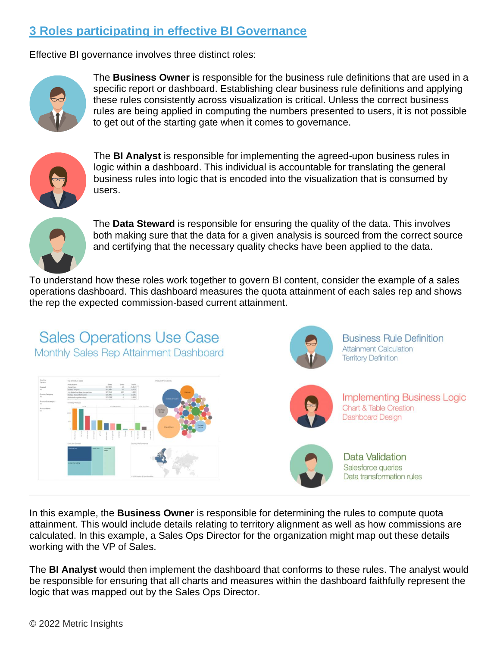# **3 Roles participating in effective BI Governance**

Effective BI governance involves three distinct roles:



The **Business Owner** is responsible for the business rule definitions that are used in a specific report or dashboard. Establishing clear business rule definitions and applying these rules consistently across visualization is critical. Unless the correct business rules are being applied in computing the numbers presented to users, it is not possible to get out of the starting gate when it comes to governance.



The **BI Analyst** is responsible for implementing the agreed-upon business rules in logic within a dashboard. This individual is accountable for translating the general business rules into logic that is encoded into the visualization that is consumed by users.



The **Data Steward** is responsible for ensuring the quality of the data. This involves both making sure that the data for a given analysis is sourced from the correct source and certifying that the necessary quality checks have been applied to the data.

To understand how these roles work together to govern BI content, consider the example of a sales operations dashboard. This dashboard measures the quota attainment of each sales rep and shows the rep the expected commission-based current attainment.



In this example, the **Business Owner** is responsible for determining the rules to compute quota attainment. This would include details relating to territory alignment as well as how commissions are calculated. In this example, a Sales Ops Director for the organization might map out these details working with the VP of Sales.

The **BI Analyst** would then implement the dashboard that conforms to these rules. The analyst would be responsible for ensuring that all charts and measures within the dashboard faithfully represent the logic that was mapped out by the Sales Ops Director.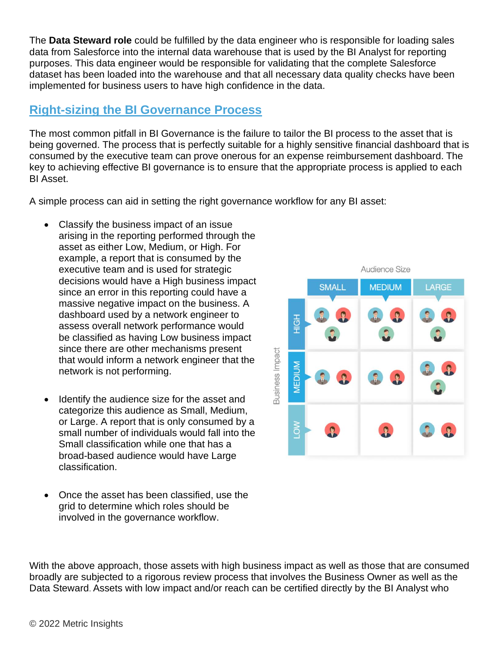The **Data Steward role** could be fulfilled by the data engineer who is responsible for loading sales data from Salesforce into the internal data warehouse that is used by the BI Analyst for reporting purposes. This data engineer would be responsible for validating that the complete Salesforce dataset has been loaded into the warehouse and that all necessary data quality checks have been implemented for business users to have high confidence in the data.

### **Right-sizing the BI Governance Process**

The most common pitfall in BI Governance is the failure to tailor the BI process to the asset that is being governed. The process that is perfectly suitable for a highly sensitive financial dashboard that is consumed by the executive team can prove onerous for an expense reimbursement dashboard. The key to achieving effective BI governance is to ensure that the appropriate process is applied to each BI Asset.

A simple process can aid in setting the right governance workflow for any BI asset:

- Classify the business impact of an issue arising in the reporting performed through the asset as either Low, Medium, or High. For example, a report that is consumed by the executive team and is used for strategic decisions would have a High business impact since an error in this reporting could have a massive negative impact on the business. A dashboard used by a network engineer to assess overall network performance would be classified as having Low business impact since there are other mechanisms present that would inform a network engineer that the network is not performing.
- Identify the audience size for the asset and categorize this audience as Small, Medium, or Large. A report that is only consumed by a small number of individuals would fall into the Small classification while one that has a broad-based audience would have Large classification.
- Once the asset has been classified, use the grid to determine which roles should be involved in the governance workflow.



With the above approach, those assets with high business impact as well as those that are consumed broadly are subjected to a rigorous review process that involves the Business Owner as well as the Data Steward. Assets with low impact and/or reach can be certified directly by the BI Analyst who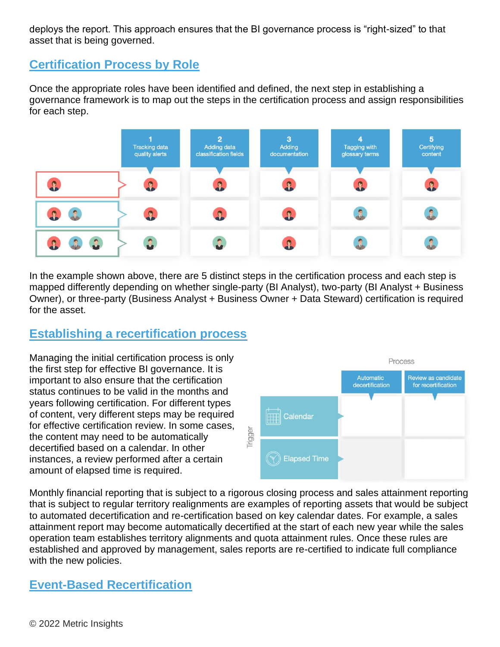deploys the report. This approach ensures that the BI governance process is "right-sized" to that asset that is being governed.

## **Certification Process by Role**

Once the appropriate roles have been identified and defined, the next step in establishing a governance framework is to map out the steps in the certification process and assign responsibilities for each step.



In the example shown above, there are 5 distinct steps in the certification process and each step is mapped differently depending on whether single-party (BI Analyst), two-party (BI Analyst + Business Owner), or three-party (Business Analyst + Business Owner + Data Steward) certification is required for the asset.

# **Establishing a recertification process**

Managing the initial certification process is only the first step for effective BI governance. It is important to also ensure that the certification status continues to be valid in the months and years following certification. For different types of content, very different steps may be required for effective certification review. In some cases, the content may need to be automatically decertified based on a calendar. In other instances, a review performed after a certain amount of elapsed time is required.



Monthly financial reporting that is subject to a rigorous closing process and sales attainment reporting that is subject to regular territory realignments are examples of reporting assets that would be subject to automated decertification and re-certification based on key calendar dates. For example, a sales attainment report may become automatically decertified at the start of each new year while the sales operation team establishes territory alignments and quota attainment rules. Once these rules are established and approved by management, sales reports are re-certified to indicate full compliance with the new policies.

# **Event-Based Recertification**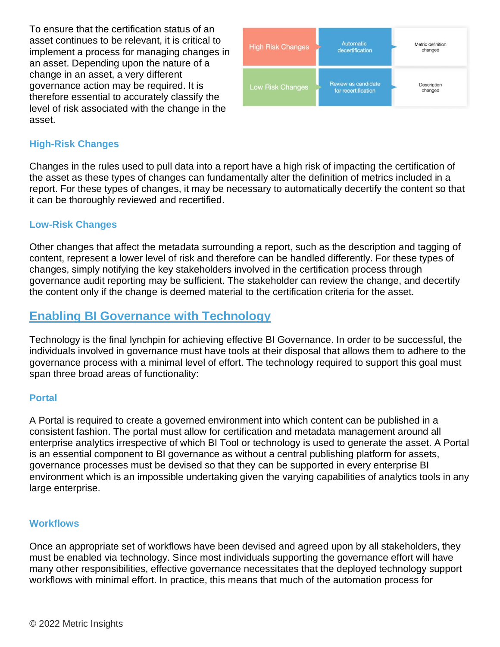To ensure that the certification status of an asset continues to be relevant, it is critical to implement a process for managing changes in an asset. Depending upon the nature of a change in an asset, a very different governance action may be required. It is therefore essential to accurately classify the level of risk associated with the change in the asset.



#### **High-Risk Changes**

Changes in the rules used to pull data into a report have a high risk of impacting the certification of the asset as these types of changes can fundamentally alter the definition of metrics included in a report. For these types of changes, it may be necessary to automatically decertify the content so that it can be thoroughly reviewed and recertified.

#### **Low-Risk Changes**

Other changes that affect the metadata surrounding a report, such as the description and tagging of content, represent a lower level of risk and therefore can be handled differently. For these types of changes, simply notifying the key stakeholders involved in the certification process through governance audit reporting may be sufficient. The stakeholder can review the change, and decertify the content only if the change is deemed material to the certification criteria for the asset.

## **Enabling BI Governance with Technology**

Technology is the final lynchpin for achieving effective BI Governance. In order to be successful, the individuals involved in governance must have tools at their disposal that allows them to adhere to the governance process with a minimal level of effort. The technology required to support this goal must span three broad areas of functionality:

#### **Portal**

A Portal is required to create a governed environment into which content can be published in a consistent fashion. The portal must allow for certification and metadata management around all enterprise analytics irrespective of which BI Tool or technology is used to generate the asset. A Portal is an essential component to BI governance as without a central publishing platform for assets, governance processes must be devised so that they can be supported in every enterprise BI environment which is an impossible undertaking given the varying capabilities of analytics tools in any large enterprise.

#### **Workflows**

Once an appropriate set of workflows have been devised and agreed upon by all stakeholders, they must be enabled via technology. Since most individuals supporting the governance effort will have many other responsibilities, effective governance necessitates that the deployed technology support workflows with minimal effort. In practice, this means that much of the automation process for